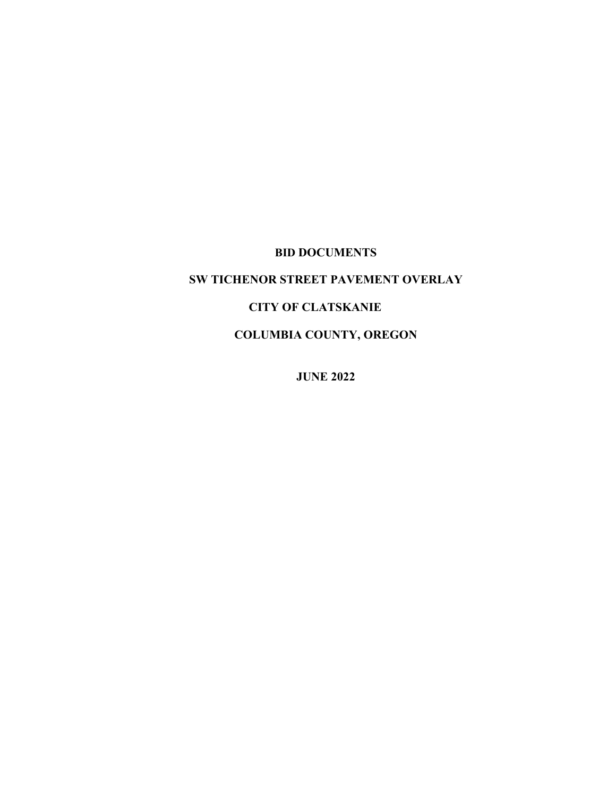# **BID DOCUMENTS**

# **SW TICHENOR STREET PAVEMENT OVERLAY**

# **CITY OF CLATSKANIE**

**COLUMBIA COUNTY, OREGON**

**JUNE 2022**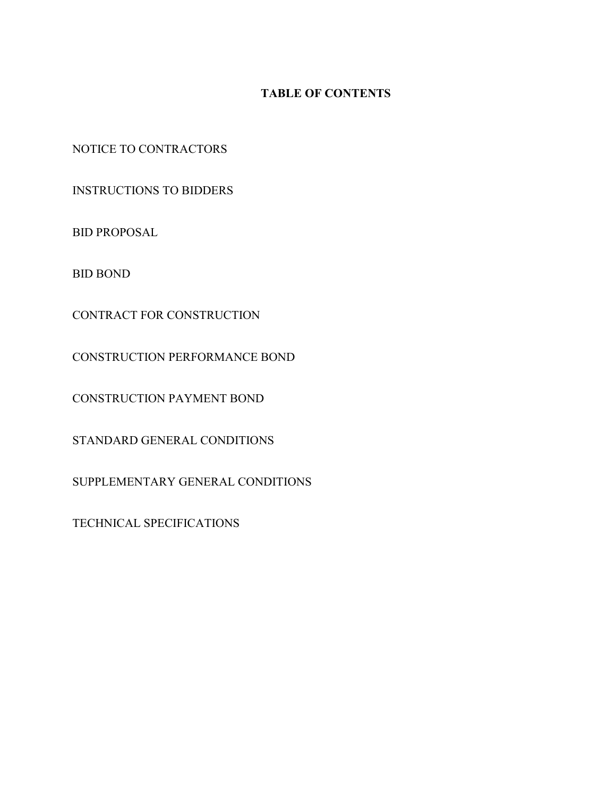# **TABLE OF CONTENTS**

NOTICE TO CONTRACTORS

INSTRUCTIONS TO BIDDERS

BID PROPOSAL

BID BOND

CONTRACT FOR CONSTRUCTION

CONSTRUCTION PERFORMANCE BOND

CONSTRUCTION PAYMENT BOND

STANDARD GENERAL CONDITIONS

SUPPLEMENTARY GENERAL CONDITIONS

TECHNICAL SPECIFICATIONS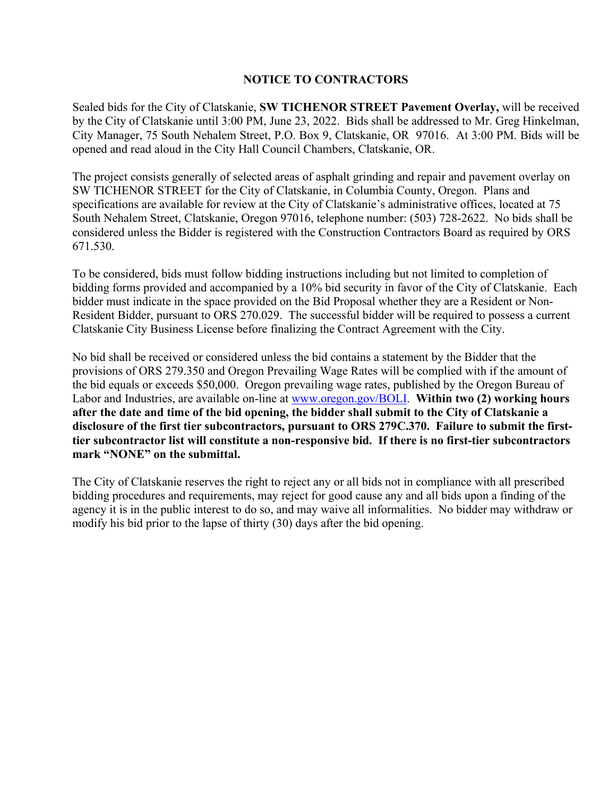# **NOTICE TO CONTRACTORS**

Sealed bids for the City of Clatskanie, **SW TICHENOR STREET Pavement Overlay,** will be received by the City of Clatskanie until 3:00 PM, June 23, 2022. Bids shall be addressed to Mr. Greg Hinkelman, City Manager, 75 South Nehalem Street, P.O. Box 9, Clatskanie, OR 97016. At 3:00 PM. Bids will be opened and read aloud in the City Hall Council Chambers, Clatskanie, OR.

The project consists generally of selected areas of asphalt grinding and repair and pavement overlay on SW TICHENOR STREET for the City of Clatskanie, in Columbia County, Oregon. Plans and specifications are available for review at the City of Clatskanie's administrative offices, located at 75 South Nehalem Street, Clatskanie, Oregon 97016, telephone number: (503) 728-2622. No bids shall be considered unless the Bidder is registered with the Construction Contractors Board as required by ORS 671.530.

To be considered, bids must follow bidding instructions including but not limited to completion of bidding forms provided and accompanied by a 10% bid security in favor of the City of Clatskanie. Each bidder must indicate in the space provided on the Bid Proposal whether they are a Resident or Non-Resident Bidder, pursuant to ORS 270.029. The successful bidder will be required to possess a current Clatskanie City Business License before finalizing the Contract Agreement with the City.

No bid shall be received or considered unless the bid contains a statement by the Bidder that the provisions of ORS 279.350 and Oregon Prevailing Wage Rates will be complied with if the amount of the bid equals or exceeds \$50,000. Oregon prevailing wage rates, published by the Oregon Bureau of Labor and Industries, are available on-line at [www.oregon.gov/BOLI.](http://www.oregon.gov/BOLI) **Within two (2) working hours after the date and time of the bid opening, the bidder shall submit to the City of Clatskanie a disclosure of the first tier subcontractors, pursuant to ORS 279C.370. Failure to submit the firsttier subcontractor list will constitute a non-responsive bid. If there is no first-tier subcontractors mark "NONE" on the submittal.** 

The City of Clatskanie reserves the right to reject any or all bids not in compliance with all prescribed bidding procedures and requirements, may reject for good cause any and all bids upon a finding of the agency it is in the public interest to do so, and may waive all informalities. No bidder may withdraw or modify his bid prior to the lapse of thirty (30) days after the bid opening.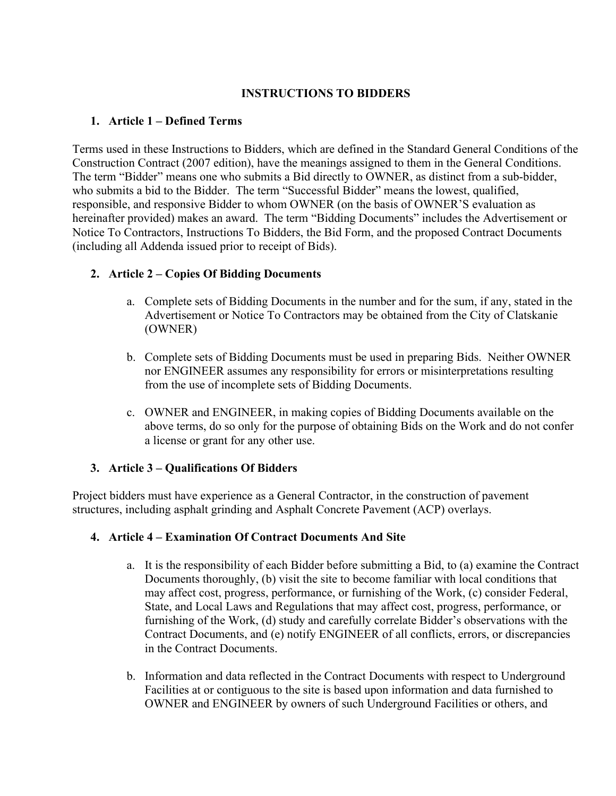## **INSTRUCTIONS TO BIDDERS**

### **1. Article 1 – Defined Terms**

Terms used in these Instructions to Bidders, which are defined in the Standard General Conditions of the Construction Contract (2007 edition), have the meanings assigned to them in the General Conditions. The term "Bidder" means one who submits a Bid directly to OWNER, as distinct from a sub-bidder, who submits a bid to the Bidder. The term "Successful Bidder" means the lowest, qualified, responsible, and responsive Bidder to whom OWNER (on the basis of OWNER'S evaluation as hereinafter provided) makes an award. The term "Bidding Documents" includes the Advertisement or Notice To Contractors, Instructions To Bidders, the Bid Form, and the proposed Contract Documents (including all Addenda issued prior to receipt of Bids).

# **2. Article 2 – Copies Of Bidding Documents**

- a. Complete sets of Bidding Documents in the number and for the sum, if any, stated in the Advertisement or Notice To Contractors may be obtained from the City of Clatskanie (OWNER)
- b. Complete sets of Bidding Documents must be used in preparing Bids. Neither OWNER nor ENGINEER assumes any responsibility for errors or misinterpretations resulting from the use of incomplete sets of Bidding Documents.
- c. OWNER and ENGINEER, in making copies of Bidding Documents available on the above terms, do so only for the purpose of obtaining Bids on the Work and do not confer a license or grant for any other use.

# **3. Article 3 – Qualifications Of Bidders**

Project bidders must have experience as a General Contractor, in the construction of pavement structures, including asphalt grinding and Asphalt Concrete Pavement (ACP) overlays.

### **4. Article 4 – Examination Of Contract Documents And Site**

- a. It is the responsibility of each Bidder before submitting a Bid, to (a) examine the Contract Documents thoroughly, (b) visit the site to become familiar with local conditions that may affect cost, progress, performance, or furnishing of the Work, (c) consider Federal, State, and Local Laws and Regulations that may affect cost, progress, performance, or furnishing of the Work, (d) study and carefully correlate Bidder's observations with the Contract Documents, and (e) notify ENGINEER of all conflicts, errors, or discrepancies in the Contract Documents.
- b. Information and data reflected in the Contract Documents with respect to Underground Facilities at or contiguous to the site is based upon information and data furnished to OWNER and ENGINEER by owners of such Underground Facilities or others, and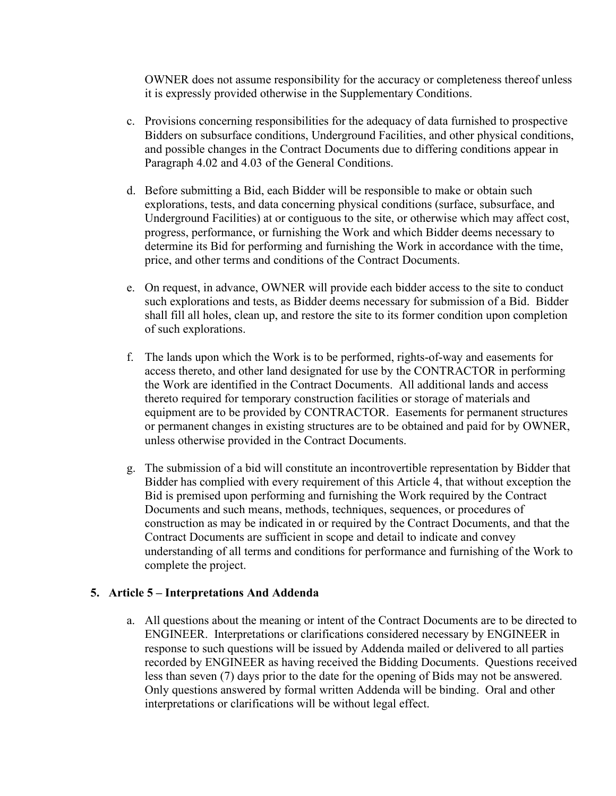OWNER does not assume responsibility for the accuracy or completeness thereof unless it is expressly provided otherwise in the Supplementary Conditions.

- c. Provisions concerning responsibilities for the adequacy of data furnished to prospective Bidders on subsurface conditions, Underground Facilities, and other physical conditions, and possible changes in the Contract Documents due to differing conditions appear in Paragraph 4.02 and 4.03 of the General Conditions.
- d. Before submitting a Bid, each Bidder will be responsible to make or obtain such explorations, tests, and data concerning physical conditions (surface, subsurface, and Underground Facilities) at or contiguous to the site, or otherwise which may affect cost, progress, performance, or furnishing the Work and which Bidder deems necessary to determine its Bid for performing and furnishing the Work in accordance with the time, price, and other terms and conditions of the Contract Documents.
- e. On request, in advance, OWNER will provide each bidder access to the site to conduct such explorations and tests, as Bidder deems necessary for submission of a Bid. Bidder shall fill all holes, clean up, and restore the site to its former condition upon completion of such explorations.
- f. The lands upon which the Work is to be performed, rights-of-way and easements for access thereto, and other land designated for use by the CONTRACTOR in performing the Work are identified in the Contract Documents. All additional lands and access thereto required for temporary construction facilities or storage of materials and equipment are to be provided by CONTRACTOR. Easements for permanent structures or permanent changes in existing structures are to be obtained and paid for by OWNER, unless otherwise provided in the Contract Documents.
- g. The submission of a bid will constitute an incontrovertible representation by Bidder that Bidder has complied with every requirement of this Article 4, that without exception the Bid is premised upon performing and furnishing the Work required by the Contract Documents and such means, methods, techniques, sequences, or procedures of construction as may be indicated in or required by the Contract Documents, and that the Contract Documents are sufficient in scope and detail to indicate and convey understanding of all terms and conditions for performance and furnishing of the Work to complete the project.

### **5. Article 5 – Interpretations And Addenda**

a. All questions about the meaning or intent of the Contract Documents are to be directed to ENGINEER. Interpretations or clarifications considered necessary by ENGINEER in response to such questions will be issued by Addenda mailed or delivered to all parties recorded by ENGINEER as having received the Bidding Documents. Questions received less than seven (7) days prior to the date for the opening of Bids may not be answered. Only questions answered by formal written Addenda will be binding. Oral and other interpretations or clarifications will be without legal effect.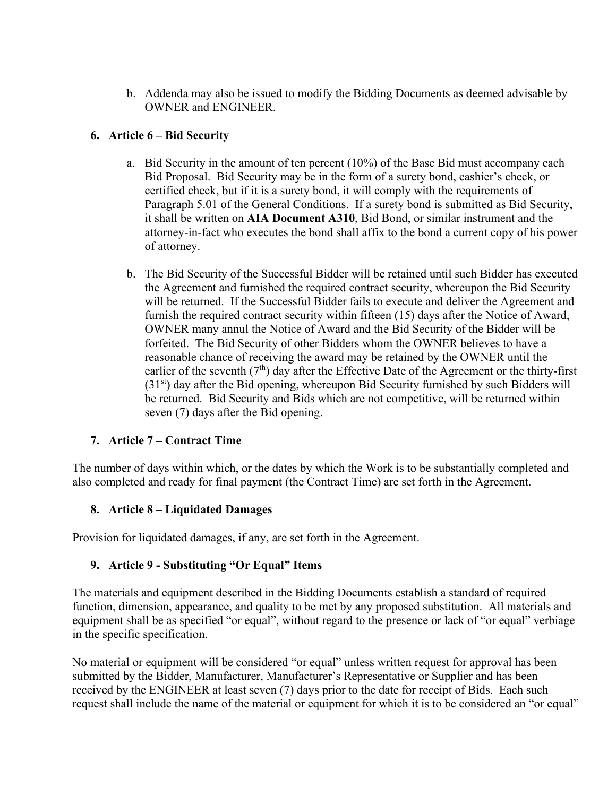b. Addenda may also be issued to modify the Bidding Documents as deemed advisable by OWNER and ENGINEER.

# **6. Article 6 – Bid Security**

- a. Bid Security in the amount of ten percent (10%) of the Base Bid must accompany each Bid Proposal. Bid Security may be in the form of a surety bond, cashier's check, or certified check, but if it is a surety bond, it will comply with the requirements of Paragraph 5.01 of the General Conditions. If a surety bond is submitted as Bid Security, it shall be written on **AIA Document A310**, Bid Bond, or similar instrument and the attorney-in-fact who executes the bond shall affix to the bond a current copy of his power of attorney.
- b. The Bid Security of the Successful Bidder will be retained until such Bidder has executed the Agreement and furnished the required contract security, whereupon the Bid Security will be returned. If the Successful Bidder fails to execute and deliver the Agreement and furnish the required contract security within fifteen (15) days after the Notice of Award, OWNER many annul the Notice of Award and the Bid Security of the Bidder will be forfeited. The Bid Security of other Bidders whom the OWNER believes to have a reasonable chance of receiving the award may be retained by the OWNER until the earlier of the seventh  $(7<sup>th</sup>)$  day after the Effective Date of the Agreement or the thirty-first  $(31<sup>st</sup>)$  day after the Bid opening, whereupon Bid Security furnished by such Bidders will be returned. Bid Security and Bids which are not competitive, will be returned within seven (7) days after the Bid opening.

# **7. Article 7 – Contract Time**

The number of days within which, or the dates by which the Work is to be substantially completed and also completed and ready for final payment (the Contract Time) are set forth in the Agreement.

# **8. Article 8 – Liquidated Damages**

Provision for liquidated damages, if any, are set forth in the Agreement.

# **9. Article 9 - Substituting "Or Equal" Items**

The materials and equipment described in the Bidding Documents establish a standard of required function, dimension, appearance, and quality to be met by any proposed substitution. All materials and equipment shall be as specified "or equal", without regard to the presence or lack of "or equal" verbiage in the specific specification.

No material or equipment will be considered "or equal" unless written request for approval has been submitted by the Bidder, Manufacturer, Manufacturer's Representative or Supplier and has been received by the ENGINEER at least seven (7) days prior to the date for receipt of Bids. Each such request shall include the name of the material or equipment for which it is to be considered an "or equal"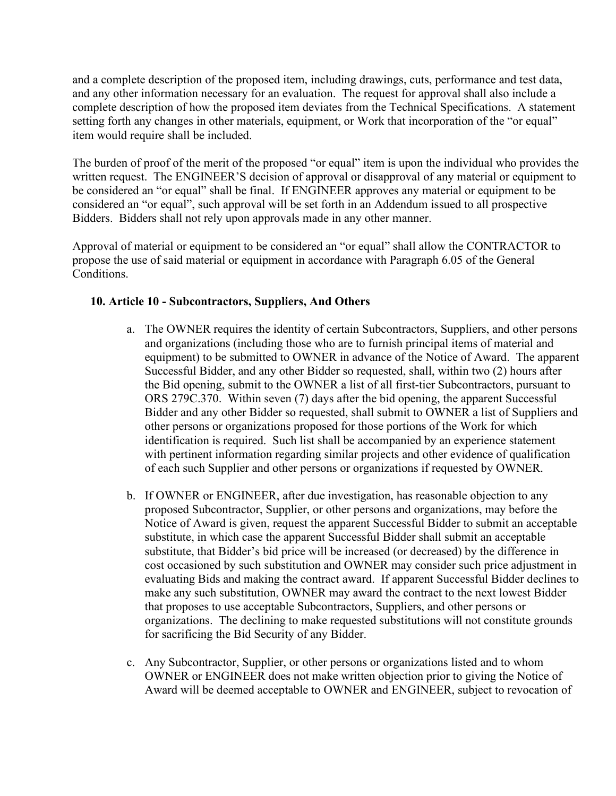and a complete description of the proposed item, including drawings, cuts, performance and test data, and any other information necessary for an evaluation. The request for approval shall also include a complete description of how the proposed item deviates from the Technical Specifications. A statement setting forth any changes in other materials, equipment, or Work that incorporation of the "or equal" item would require shall be included.

The burden of proof of the merit of the proposed "or equal" item is upon the individual who provides the written request. The ENGINEER'S decision of approval or disapproval of any material or equipment to be considered an "or equal" shall be final. If ENGINEER approves any material or equipment to be considered an "or equal", such approval will be set forth in an Addendum issued to all prospective Bidders. Bidders shall not rely upon approvals made in any other manner.

Approval of material or equipment to be considered an "or equal" shall allow the CONTRACTOR to propose the use of said material or equipment in accordance with Paragraph 6.05 of the General Conditions.

# **10. Article 10 - Subcontractors, Suppliers, And Others**

- a. The OWNER requires the identity of certain Subcontractors, Suppliers, and other persons and organizations (including those who are to furnish principal items of material and equipment) to be submitted to OWNER in advance of the Notice of Award. The apparent Successful Bidder, and any other Bidder so requested, shall, within two (2) hours after the Bid opening, submit to the OWNER a list of all first-tier Subcontractors, pursuant to ORS 279C.370. Within seven (7) days after the bid opening, the apparent Successful Bidder and any other Bidder so requested, shall submit to OWNER a list of Suppliers and other persons or organizations proposed for those portions of the Work for which identification is required. Such list shall be accompanied by an experience statement with pertinent information regarding similar projects and other evidence of qualification of each such Supplier and other persons or organizations if requested by OWNER.
- b. If OWNER or ENGINEER, after due investigation, has reasonable objection to any proposed Subcontractor, Supplier, or other persons and organizations, may before the Notice of Award is given, request the apparent Successful Bidder to submit an acceptable substitute, in which case the apparent Successful Bidder shall submit an acceptable substitute, that Bidder's bid price will be increased (or decreased) by the difference in cost occasioned by such substitution and OWNER may consider such price adjustment in evaluating Bids and making the contract award. If apparent Successful Bidder declines to make any such substitution, OWNER may award the contract to the next lowest Bidder that proposes to use acceptable Subcontractors, Suppliers, and other persons or organizations. The declining to make requested substitutions will not constitute grounds for sacrificing the Bid Security of any Bidder.
- c. Any Subcontractor, Supplier, or other persons or organizations listed and to whom OWNER or ENGINEER does not make written objection prior to giving the Notice of Award will be deemed acceptable to OWNER and ENGINEER, subject to revocation of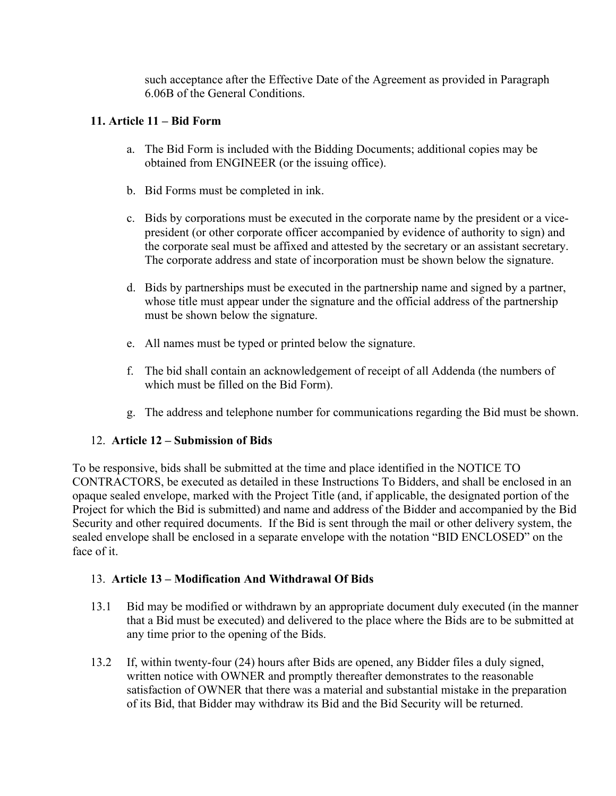such acceptance after the Effective Date of the Agreement as provided in Paragraph 6.06B of the General Conditions.

# **11. Article 11 – Bid Form**

- a. The Bid Form is included with the Bidding Documents; additional copies may be obtained from ENGINEER (or the issuing office).
- b. Bid Forms must be completed in ink.
- c. Bids by corporations must be executed in the corporate name by the president or a vicepresident (or other corporate officer accompanied by evidence of authority to sign) and the corporate seal must be affixed and attested by the secretary or an assistant secretary. The corporate address and state of incorporation must be shown below the signature.
- d. Bids by partnerships must be executed in the partnership name and signed by a partner, whose title must appear under the signature and the official address of the partnership must be shown below the signature.
- e. All names must be typed or printed below the signature.
- f. The bid shall contain an acknowledgement of receipt of all Addenda (the numbers of which must be filled on the Bid Form).
- g. The address and telephone number for communications regarding the Bid must be shown.

# 12. **Article 12 – Submission of Bids**

To be responsive, bids shall be submitted at the time and place identified in the NOTICE TO CONTRACTORS, be executed as detailed in these Instructions To Bidders, and shall be enclosed in an opaque sealed envelope, marked with the Project Title (and, if applicable, the designated portion of the Project for which the Bid is submitted) and name and address of the Bidder and accompanied by the Bid Security and other required documents. If the Bid is sent through the mail or other delivery system, the sealed envelope shall be enclosed in a separate envelope with the notation "BID ENCLOSED" on the face of it.

# 13. **Article 13 – Modification And Withdrawal Of Bids**

- 13.1 Bid may be modified or withdrawn by an appropriate document duly executed (in the manner that a Bid must be executed) and delivered to the place where the Bids are to be submitted at any time prior to the opening of the Bids.
- 13.2 If, within twenty-four (24) hours after Bids are opened, any Bidder files a duly signed, written notice with OWNER and promptly thereafter demonstrates to the reasonable satisfaction of OWNER that there was a material and substantial mistake in the preparation of its Bid, that Bidder may withdraw its Bid and the Bid Security will be returned.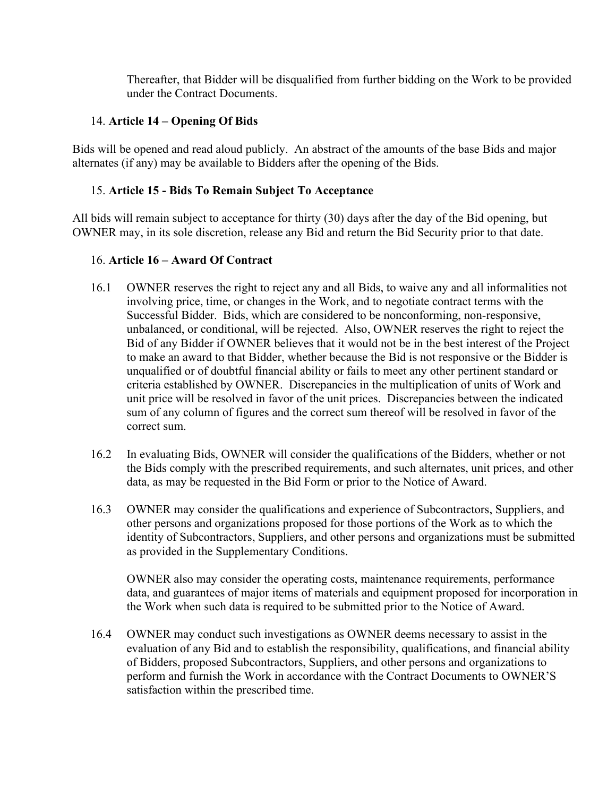Thereafter, that Bidder will be disqualified from further bidding on the Work to be provided under the Contract Documents.

### 14. **Article 14 – Opening Of Bids**

Bids will be opened and read aloud publicly. An abstract of the amounts of the base Bids and major alternates (if any) may be available to Bidders after the opening of the Bids.

### 15. **Article 15 - Bids To Remain Subject To Acceptance**

All bids will remain subject to acceptance for thirty (30) days after the day of the Bid opening, but OWNER may, in its sole discretion, release any Bid and return the Bid Security prior to that date.

### 16. **Article 16 – Award Of Contract**

- 16.1 OWNER reserves the right to reject any and all Bids, to waive any and all informalities not involving price, time, or changes in the Work, and to negotiate contract terms with the Successful Bidder. Bids, which are considered to be nonconforming, non-responsive, unbalanced, or conditional, will be rejected. Also, OWNER reserves the right to reject the Bid of any Bidder if OWNER believes that it would not be in the best interest of the Project to make an award to that Bidder, whether because the Bid is not responsive or the Bidder is unqualified or of doubtful financial ability or fails to meet any other pertinent standard or criteria established by OWNER. Discrepancies in the multiplication of units of Work and unit price will be resolved in favor of the unit prices. Discrepancies between the indicated sum of any column of figures and the correct sum thereof will be resolved in favor of the correct sum.
- 16.2 In evaluating Bids, OWNER will consider the qualifications of the Bidders, whether or not the Bids comply with the prescribed requirements, and such alternates, unit prices, and other data, as may be requested in the Bid Form or prior to the Notice of Award.
- 16.3 OWNER may consider the qualifications and experience of Subcontractors, Suppliers, and other persons and organizations proposed for those portions of the Work as to which the identity of Subcontractors, Suppliers, and other persons and organizations must be submitted as provided in the Supplementary Conditions.

OWNER also may consider the operating costs, maintenance requirements, performance data, and guarantees of major items of materials and equipment proposed for incorporation in the Work when such data is required to be submitted prior to the Notice of Award.

16.4 OWNER may conduct such investigations as OWNER deems necessary to assist in the evaluation of any Bid and to establish the responsibility, qualifications, and financial ability of Bidders, proposed Subcontractors, Suppliers, and other persons and organizations to perform and furnish the Work in accordance with the Contract Documents to OWNER'S satisfaction within the prescribed time.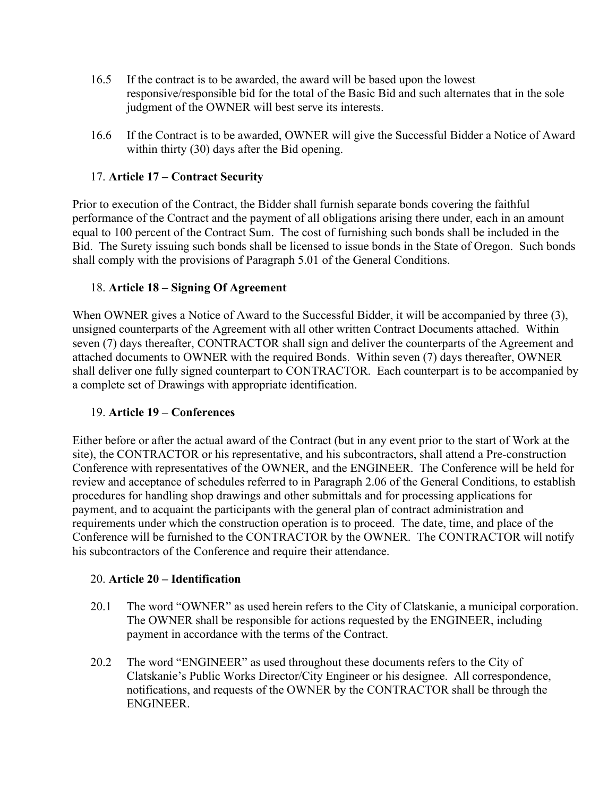- 16.5 If the contract is to be awarded, the award will be based upon the lowest responsive/responsible bid for the total of the Basic Bid and such alternates that in the sole judgment of the OWNER will best serve its interests.
- 16.6 If the Contract is to be awarded, OWNER will give the Successful Bidder a Notice of Award within thirty (30) days after the Bid opening.

# 17. **Article 17 – Contract Security**

Prior to execution of the Contract, the Bidder shall furnish separate bonds covering the faithful performance of the Contract and the payment of all obligations arising there under, each in an amount equal to 100 percent of the Contract Sum. The cost of furnishing such bonds shall be included in the Bid. The Surety issuing such bonds shall be licensed to issue bonds in the State of Oregon. Such bonds shall comply with the provisions of Paragraph 5.01 of the General Conditions.

# 18. **Article 18 – Signing Of Agreement**

When OWNER gives a Notice of Award to the Successful Bidder, it will be accompanied by three (3), unsigned counterparts of the Agreement with all other written Contract Documents attached. Within seven (7) days thereafter, CONTRACTOR shall sign and deliver the counterparts of the Agreement and attached documents to OWNER with the required Bonds. Within seven (7) days thereafter, OWNER shall deliver one fully signed counterpart to CONTRACTOR. Each counterpart is to be accompanied by a complete set of Drawings with appropriate identification.

# 19. **Article 19 – Conferences**

Either before or after the actual award of the Contract (but in any event prior to the start of Work at the site), the CONTRACTOR or his representative, and his subcontractors, shall attend a Pre-construction Conference with representatives of the OWNER, and the ENGINEER. The Conference will be held for review and acceptance of schedules referred to in Paragraph 2.06 of the General Conditions, to establish procedures for handling shop drawings and other submittals and for processing applications for payment, and to acquaint the participants with the general plan of contract administration and requirements under which the construction operation is to proceed. The date, time, and place of the Conference will be furnished to the CONTRACTOR by the OWNER. The CONTRACTOR will notify his subcontractors of the Conference and require their attendance.

# 20. **Article 20 – Identification**

- 20.1 The word "OWNER" as used herein refers to the City of Clatskanie, a municipal corporation. The OWNER shall be responsible for actions requested by the ENGINEER, including payment in accordance with the terms of the Contract.
- 20.2 The word "ENGINEER" as used throughout these documents refers to the City of Clatskanie's Public Works Director/City Engineer or his designee. All correspondence, notifications, and requests of the OWNER by the CONTRACTOR shall be through the ENGINEER.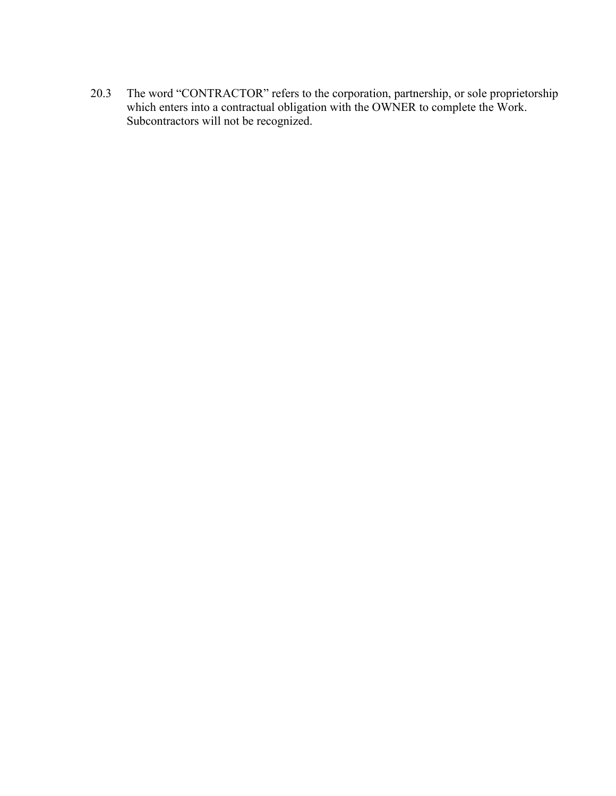20.3 The word "CONTRACTOR" refers to the corporation, partnership, or sole proprietorship which enters into a contractual obligation with the OWNER to complete the Work. Subcontractors will not be recognized.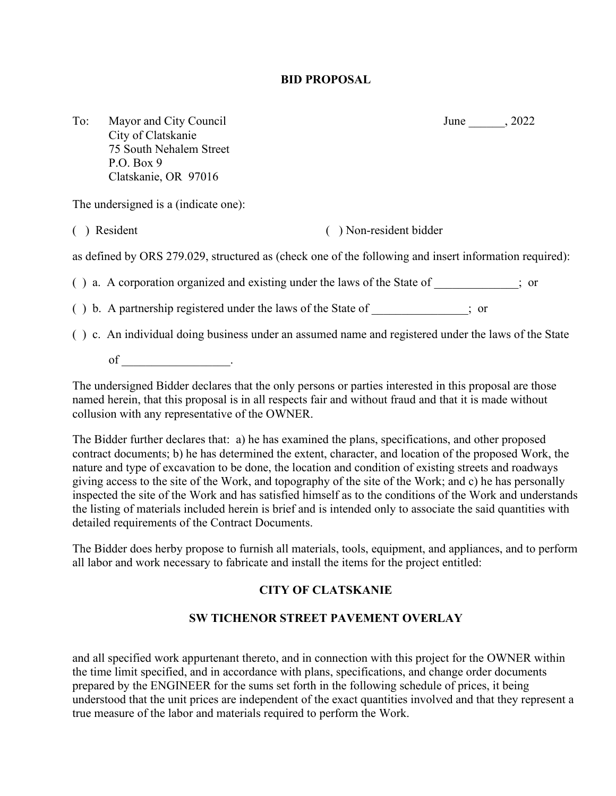### **BID PROPOSAL**

To: Mayor and City Council June June 3022 City of Clatskanie 75 South Nehalem Street P.O. Box 9 Clatskanie, OR 97016

The undersigned is a (indicate one):

( ) Resident ( ) Non-resident bidder

as defined by ORS 279.029, structured as (check one of the following and insert information required):

( ) a. A corporation organized and existing under the laws of the State of \_\_\_\_\_\_\_\_\_\_\_\_\_\_; or

( ) b. A partnership registered under the laws of the State of \_\_\_\_\_\_\_\_\_\_\_\_\_\_\_\_; or

( ) c. An individual doing business under an assumed name and registered under the laws of the State

of  $\qquad \qquad \ldots$ 

The undersigned Bidder declares that the only persons or parties interested in this proposal are those named herein, that this proposal is in all respects fair and without fraud and that it is made without collusion with any representative of the OWNER.

The Bidder further declares that: a) he has examined the plans, specifications, and other proposed contract documents; b) he has determined the extent, character, and location of the proposed Work, the nature and type of excavation to be done, the location and condition of existing streets and roadways giving access to the site of the Work, and topography of the site of the Work; and c) he has personally inspected the site of the Work and has satisfied himself as to the conditions of the Work and understands the listing of materials included herein is brief and is intended only to associate the said quantities with detailed requirements of the Contract Documents.

The Bidder does herby propose to furnish all materials, tools, equipment, and appliances, and to perform all labor and work necessary to fabricate and install the items for the project entitled:

# **CITY OF CLATSKANIE**

# **SW TICHENOR STREET PAVEMENT OVERLAY**

and all specified work appurtenant thereto, and in connection with this project for the OWNER within the time limit specified, and in accordance with plans, specifications, and change order documents prepared by the ENGINEER for the sums set forth in the following schedule of prices, it being understood that the unit prices are independent of the exact quantities involved and that they represent a true measure of the labor and materials required to perform the Work.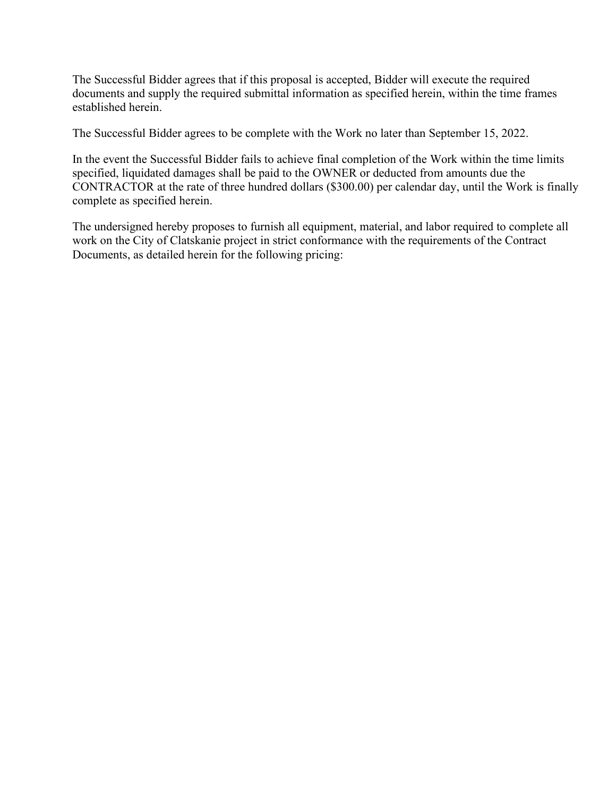The Successful Bidder agrees that if this proposal is accepted, Bidder will execute the required documents and supply the required submittal information as specified herein, within the time frames established herein.

The Successful Bidder agrees to be complete with the Work no later than September 15, 2022.

In the event the Successful Bidder fails to achieve final completion of the Work within the time limits specified, liquidated damages shall be paid to the OWNER or deducted from amounts due the CONTRACTOR at the rate of three hundred dollars (\$300.00) per calendar day, until the Work is finally complete as specified herein.

The undersigned hereby proposes to furnish all equipment, material, and labor required to complete all work on the City of Clatskanie project in strict conformance with the requirements of the Contract Documents, as detailed herein for the following pricing: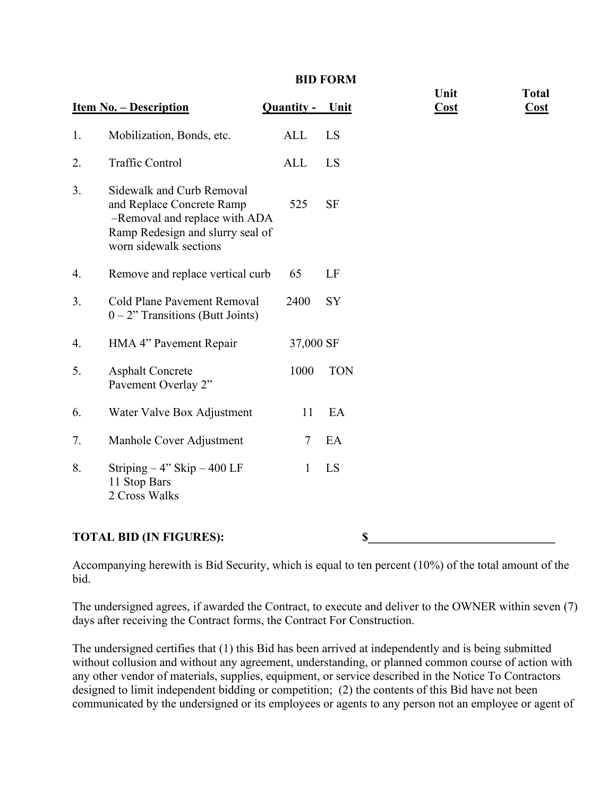#### **BID FORM**

|                                | <b>Item No. - Description</b>                                                                                                                         | Quantity - | <u>Unit</u> | Unit<br>$\overline{\text{Cost}}$ | <b>Total</b><br><b>Cost</b> |
|--------------------------------|-------------------------------------------------------------------------------------------------------------------------------------------------------|------------|-------------|----------------------------------|-----------------------------|
| 1.                             | Mobilization, Bonds, etc.                                                                                                                             | ALL        | LS          |                                  |                             |
| 2.                             | <b>Traffic Control</b>                                                                                                                                | <b>ALL</b> | LS          |                                  |                             |
| 3.                             | Sidewalk and Curb Removal<br>and Replace Concrete Ramp<br>-Removal and replace with ADA<br>Ramp Redesign and slurry seal of<br>worn sidewalk sections | 525        | <b>SF</b>   |                                  |                             |
| 4.                             | Remove and replace vertical curb                                                                                                                      | 65         | LF          |                                  |                             |
| 3.                             | Cold Plane Pavement Removal<br>$0 - 2$ " Transitions (Butt Joints)                                                                                    | 2400       | SY          |                                  |                             |
| 4.                             | HMA 4" Pavement Repair                                                                                                                                | 37,000 SF  |             |                                  |                             |
| 5.                             | <b>Asphalt Concrete</b><br>Pavement Overlay 2"                                                                                                        | 1000       | <b>TON</b>  |                                  |                             |
| 6.                             | Water Valve Box Adjustment                                                                                                                            | 11         | EA          |                                  |                             |
| 7.                             | Manhole Cover Adjustment                                                                                                                              | $\tau$     | EA          |                                  |                             |
| 8.                             | Striping $-4$ " Skip $-400$ LF<br>11 Stop Bars<br>2 Cross Walks                                                                                       | 1          | LS          |                                  |                             |
| <b>TOTAL BID (IN FIGURES):</b> |                                                                                                                                                       |            |             | \$                               |                             |

Accompanying herewith is Bid Security, which is equal to ten percent (10%) of the total amount of the bid.

The undersigned agrees, if awarded the Contract, to execute and deliver to the OWNER within seven (7) days after receiving the Contract forms, the Contract For Construction.

The undersigned certifies that (1) this Bid has been arrived at independently and is being submitted without collusion and without any agreement, understanding, or planned common course of action with any other vendor of materials, supplies, equipment, or service described in the Notice To Contractors designed to limit independent bidding or competition; (2) the contents of this Bid have not been communicated by the undersigned or its employees or agents to any person not an employee or agent of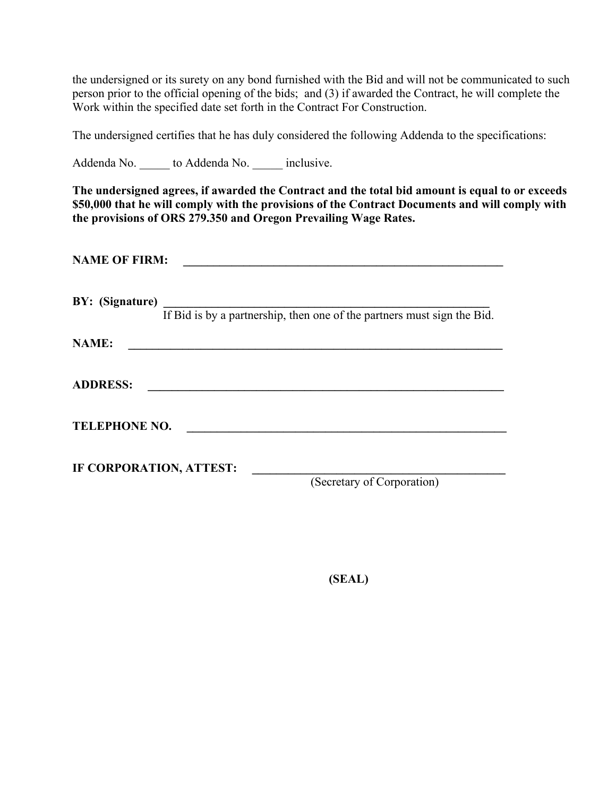the undersigned or its surety on any bond furnished with the Bid and will not be communicated to such person prior to the official opening of the bids; and (3) if awarded the Contract, he will complete the Work within the specified date set forth in the Contract For Construction.

The undersigned certifies that he has duly considered the following Addenda to the specifications:

Addenda No.  $\qquad \qquad$  to Addenda No.  $\qquad \qquad$  inclusive.

**The undersigned agrees, if awarded the Contract and the total bid amount is equal to or exceeds \$50,000 that he will comply with the provisions of the Contract Documents and will comply with the provisions of ORS 279.350 and Oregon Prevailing Wage Rates.**

| <b>NAME OF FIRM:</b>                                                                                                                 |                                                                         |  |  |  |  |
|--------------------------------------------------------------------------------------------------------------------------------------|-------------------------------------------------------------------------|--|--|--|--|
| BY: (Signature)                                                                                                                      | If Bid is by a partnership, then one of the partners must sign the Bid. |  |  |  |  |
| <b>NAME:</b><br><u> 1989 - Andrea State Barbara, amerikan personal di sebagai personal di sebagai personal di sebagai personal d</u> |                                                                         |  |  |  |  |
| <b>ADDRESS:</b>                                                                                                                      |                                                                         |  |  |  |  |
| <b>TELEPHONE NO.</b>                                                                                                                 |                                                                         |  |  |  |  |
| IF CORPORATION, ATTEST:                                                                                                              | (Secretary of Corporation)                                              |  |  |  |  |

**(SEAL)**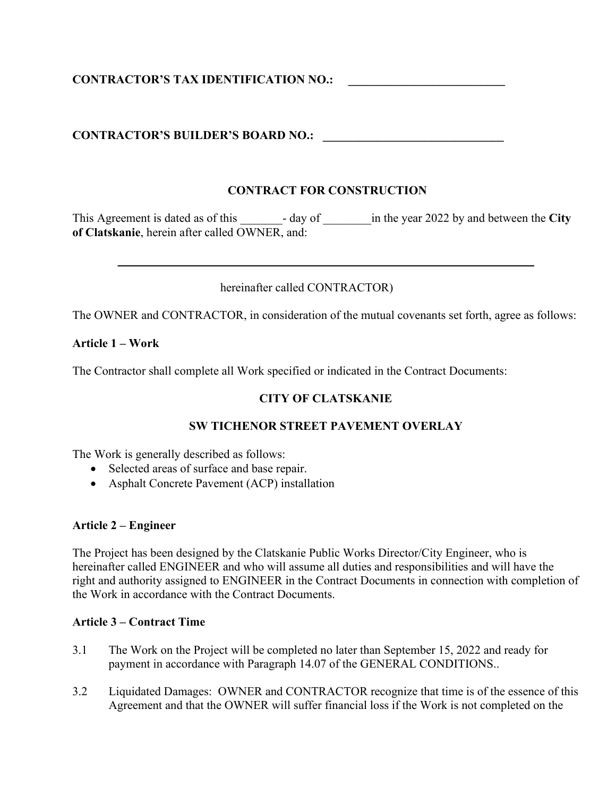# **CONTRACTOR'S TAX IDENTIFICATION NO.: \_\_\_\_\_\_\_\_\_\_\_\_\_\_\_\_\_\_\_\_\_\_\_\_\_\_**

### **CONTRACTOR'S BUILDER'S BOARD NO.: \_\_\_\_\_\_\_\_\_\_\_\_\_\_\_\_\_\_\_\_\_\_\_\_\_\_\_\_\_\_**

### **CONTRACT FOR CONSTRUCTION**

This Agreement is dated as of this \_\_\_\_\_\_\_- day of \_\_\_\_\_\_\_\_in the year 2022 by and between the **City of Clatskanie**, herein after called OWNER, and:

 $\mathcal{L} = \{ \mathcal{L} = \{ \mathcal{L} \mid \mathcal{L} = \{ \mathcal{L} \mid \mathcal{L} = \{ \mathcal{L} \mid \mathcal{L} = \{ \mathcal{L} \mid \mathcal{L} = \{ \mathcal{L} \mid \mathcal{L} = \{ \mathcal{L} \mid \mathcal{L} = \{ \mathcal{L} \mid \mathcal{L} = \{ \mathcal{L} \mid \mathcal{L} = \{ \mathcal{L} \mid \mathcal{L} = \{ \mathcal{L} \mid \mathcal{L} = \{ \mathcal{L} \mid \mathcal{L} = \{ \mathcal{L} \mid \mathcal{L} =$ 

hereinafter called CONTRACTOR)

The OWNER and CONTRACTOR, in consideration of the mutual covenants set forth, agree as follows:

### **Article 1 – Work**

The Contractor shall complete all Work specified or indicated in the Contract Documents:

### **CITY OF CLATSKANIE**

### **SW TICHENOR STREET PAVEMENT OVERLAY**

The Work is generally described as follows:

- Selected areas of surface and base repair.
- Asphalt Concrete Pavement (ACP) installation

#### **Article 2 – Engineer**

The Project has been designed by the Clatskanie Public Works Director/City Engineer, who is hereinafter called ENGINEER and who will assume all duties and responsibilities and will have the right and authority assigned to ENGINEER in the Contract Documents in connection with completion of the Work in accordance with the Contract Documents.

#### **Article 3 – Contract Time**

- 3.1 The Work on the Project will be completed no later than September 15, 2022 and ready for payment in accordance with Paragraph 14.07 of the GENERAL CONDITIONS..
- 3.2 Liquidated Damages: OWNER and CONTRACTOR recognize that time is of the essence of this Agreement and that the OWNER will suffer financial loss if the Work is not completed on the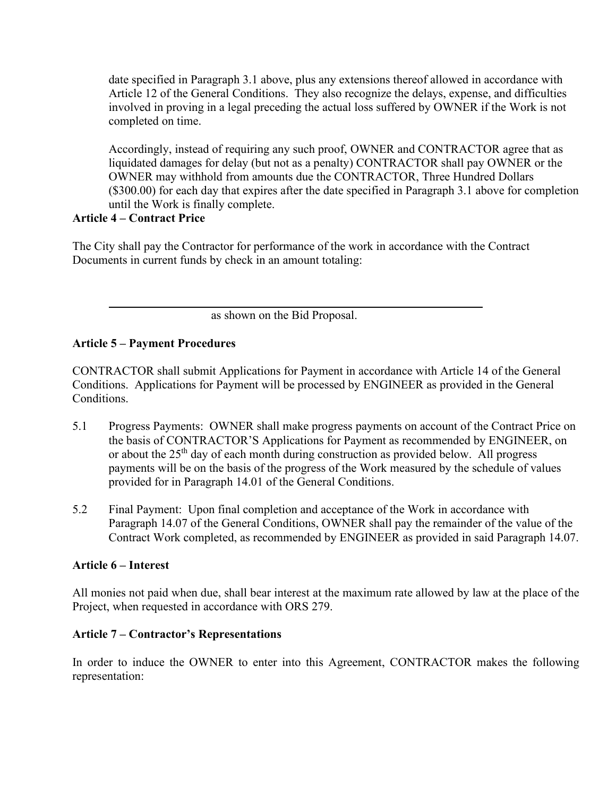date specified in Paragraph 3.1 above, plus any extensions thereof allowed in accordance with Article 12 of the General Conditions. They also recognize the delays, expense, and difficulties involved in proving in a legal preceding the actual loss suffered by OWNER if the Work is not completed on time.

Accordingly, instead of requiring any such proof, OWNER and CONTRACTOR agree that as liquidated damages for delay (but not as a penalty) CONTRACTOR shall pay OWNER or the OWNER may withhold from amounts due the CONTRACTOR, Three Hundred Dollars (\$300.00) for each day that expires after the date specified in Paragraph 3.1 above for completion until the Work is finally complete.

### **Article 4 – Contract Price**

The City shall pay the Contractor for performance of the work in accordance with the Contract Documents in current funds by check in an amount totaling:

as shown on the Bid Proposal.

# **Article 5 – Payment Procedures**

CONTRACTOR shall submit Applications for Payment in accordance with Article 14 of the General Conditions. Applications for Payment will be processed by ENGINEER as provided in the General Conditions.

- 5.1 Progress Payments: OWNER shall make progress payments on account of the Contract Price on the basis of CONTRACTOR'S Applications for Payment as recommended by ENGINEER, on or about the 25th day of each month during construction as provided below. All progress payments will be on the basis of the progress of the Work measured by the schedule of values provided for in Paragraph 14.01 of the General Conditions.
- 5.2 Final Payment: Upon final completion and acceptance of the Work in accordance with Paragraph 14.07 of the General Conditions, OWNER shall pay the remainder of the value of the Contract Work completed, as recommended by ENGINEER as provided in said Paragraph 14.07.

# **Article 6 – Interest**

All monies not paid when due, shall bear interest at the maximum rate allowed by law at the place of the Project, when requested in accordance with ORS 279.

# **Article 7 – Contractor's Representations**

In order to induce the OWNER to enter into this Agreement, CONTRACTOR makes the following representation: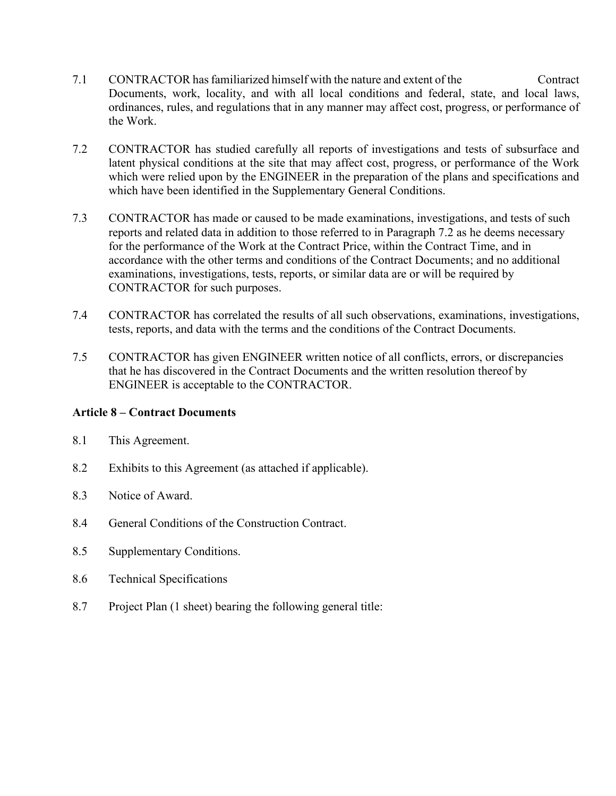- 7.1 CONTRACTOR has familiarized himself with the nature and extent of the Contract Documents, work, locality, and with all local conditions and federal, state, and local laws, ordinances, rules, and regulations that in any manner may affect cost, progress, or performance of the Work.
- 7.2 CONTRACTOR has studied carefully all reports of investigations and tests of subsurface and latent physical conditions at the site that may affect cost, progress, or performance of the Work which were relied upon by the ENGINEER in the preparation of the plans and specifications and which have been identified in the Supplementary General Conditions.
- 7.3 CONTRACTOR has made or caused to be made examinations, investigations, and tests of such reports and related data in addition to those referred to in Paragraph 7.2 as he deems necessary for the performance of the Work at the Contract Price, within the Contract Time, and in accordance with the other terms and conditions of the Contract Documents; and no additional examinations, investigations, tests, reports, or similar data are or will be required by CONTRACTOR for such purposes.
- 7.4 CONTRACTOR has correlated the results of all such observations, examinations, investigations, tests, reports, and data with the terms and the conditions of the Contract Documents.
- 7.5 CONTRACTOR has given ENGINEER written notice of all conflicts, errors, or discrepancies that he has discovered in the Contract Documents and the written resolution thereof by ENGINEER is acceptable to the CONTRACTOR.

# **Article 8 – Contract Documents**

- 8.1 This Agreement.
- 8.2 Exhibits to this Agreement (as attached if applicable).
- 8.3 Notice of Award.
- 8.4 General Conditions of the Construction Contract.
- 8.5 Supplementary Conditions.
- 8.6 Technical Specifications
- 8.7 Project Plan (1 sheet) bearing the following general title: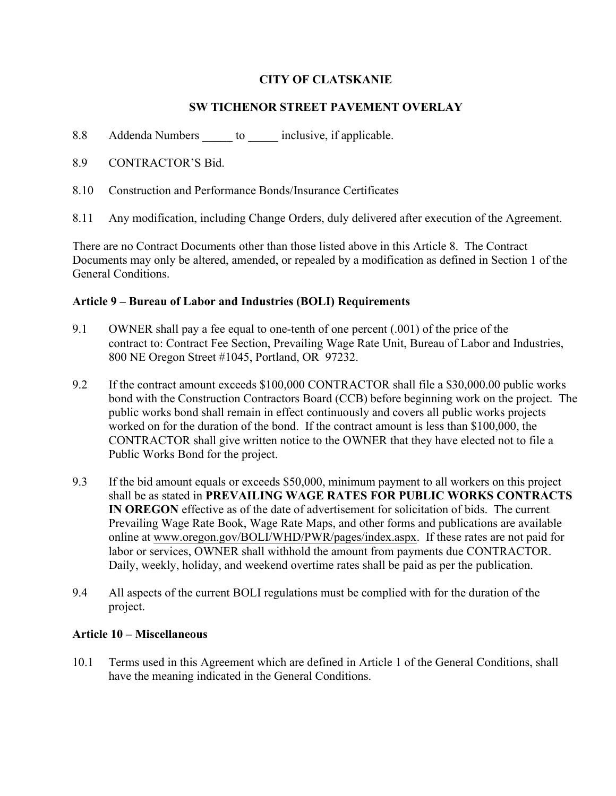# **CITY OF CLATSKANIE**

# **SW TICHENOR STREET PAVEMENT OVERLAY**

- 8.8 Addenda Numbers to inclusive, if applicable.
- 8.9 CONTRACTOR'S Bid.
- 8.10 Construction and Performance Bonds/Insurance Certificates
- 8.11 Any modification, including Change Orders, duly delivered after execution of the Agreement.

There are no Contract Documents other than those listed above in this Article 8. The Contract Documents may only be altered, amended, or repealed by a modification as defined in Section 1 of the General Conditions.

### **Article 9 – Bureau of Labor and Industries (BOLI) Requirements**

- 9.1 OWNER shall pay a fee equal to one-tenth of one percent (.001) of the price of the contract to: Contract Fee Section, Prevailing Wage Rate Unit, Bureau of Labor and Industries, 800 NE Oregon Street #1045, Portland, OR 97232.
- 9.2 If the contract amount exceeds \$100,000 CONTRACTOR shall file a \$30,000.00 public works bond with the Construction Contractors Board (CCB) before beginning work on the project. The public works bond shall remain in effect continuously and covers all public works projects worked on for the duration of the bond. If the contract amount is less than \$100,000, the CONTRACTOR shall give written notice to the OWNER that they have elected not to file a Public Works Bond for the project.
- 9.3 If the bid amount equals or exceeds \$50,000, minimum payment to all workers on this project shall be as stated in **PREVAILING WAGE RATES FOR PUBLIC WORKS CONTRACTS IN OREGON** effective as of the date of advertisement for solicitation of bids. The current Prevailing Wage Rate Book, Wage Rate Maps, and other forms and publications are available online at www.oregon.gov/BOLI/WHD/PWR/pages/index.aspx. If these rates are not paid for labor or services, OWNER shall withhold the amount from payments due CONTRACTOR. Daily, weekly, holiday, and weekend overtime rates shall be paid as per the publication.
- 9.4 All aspects of the current BOLI regulations must be complied with for the duration of the project.

# **Article 10 – Miscellaneous**

10.1 Terms used in this Agreement which are defined in Article 1 of the General Conditions, shall have the meaning indicated in the General Conditions.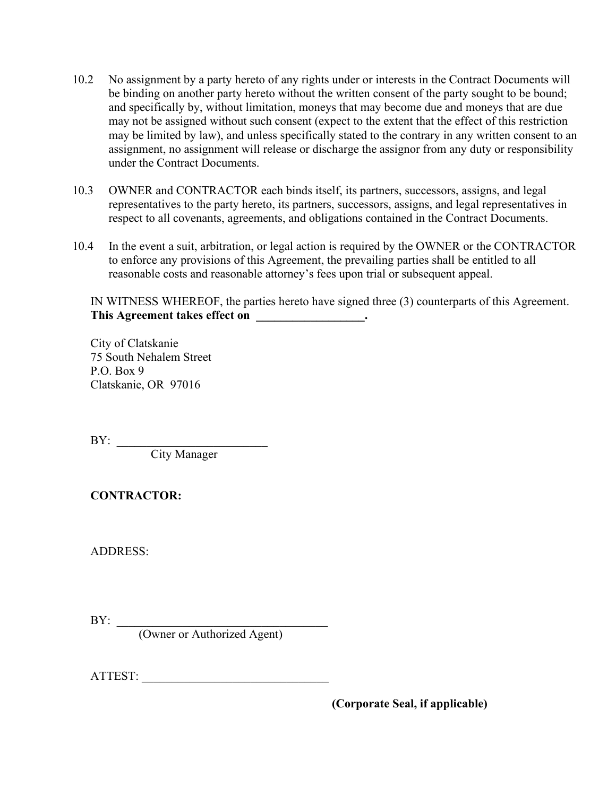- 10.2 No assignment by a party hereto of any rights under or interests in the Contract Documents will be binding on another party hereto without the written consent of the party sought to be bound; and specifically by, without limitation, moneys that may become due and moneys that are due may not be assigned without such consent (expect to the extent that the effect of this restriction may be limited by law), and unless specifically stated to the contrary in any written consent to an assignment, no assignment will release or discharge the assignor from any duty or responsibility under the Contract Documents.
- 10.3 OWNER and CONTRACTOR each binds itself, its partners, successors, assigns, and legal representatives to the party hereto, its partners, successors, assigns, and legal representatives in respect to all covenants, agreements, and obligations contained in the Contract Documents.
- 10.4 In the event a suit, arbitration, or legal action is required by the OWNER or the CONTRACTOR to enforce any provisions of this Agreement, the prevailing parties shall be entitled to all reasonable costs and reasonable attorney's fees upon trial or subsequent appeal.

IN WITNESS WHEREOF, the parties hereto have signed three (3) counterparts of this Agreement. This Agreement takes effect on \_\_\_\_\_\_\_\_\_\_\_\_\_\_\_\_\_\_\_.

City of Clatskanie 75 South Nehalem Street P.O. Box 9 Clatskanie, OR 97016

 $BY:$ 

City Manager

**CONTRACTOR:** 

ADDRESS:

BY: \_\_\_\_\_\_\_\_\_\_\_\_\_\_\_\_\_\_\_\_\_\_\_\_\_\_\_\_\_\_\_\_\_\_\_

(Owner or Authorized Agent)

ATTEST: \_\_\_\_\_\_\_\_\_\_\_\_\_\_\_\_\_\_\_\_\_\_\_\_\_\_\_\_\_\_\_

 **(Corporate Seal, if applicable)**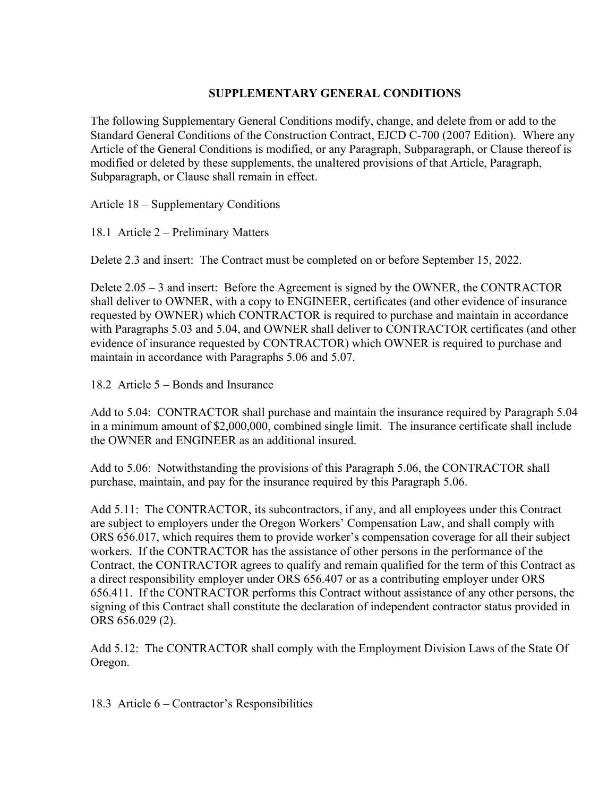### **SUPPLEMENTARY GENERAL CONDITIONS**

The following Supplementary General Conditions modify, change, and delete from or add to the Standard General Conditions of the Construction Contract, EJCD C-700 (2007 Edition). Where any Article of the General Conditions is modified, or any Paragraph, Subparagraph, or Clause thereof is modified or deleted by these supplements, the unaltered provisions of that Article, Paragraph, Subparagraph, or Clause shall remain in effect.

Article 18 – Supplementary Conditions

18.1 Article 2 – Preliminary Matters

Delete 2.3 and insert: The Contract must be completed on or before September 15, 2022.

Delete 2.05 – 3 and insert: Before the Agreement is signed by the OWNER, the CONTRACTOR shall deliver to OWNER, with a copy to ENGINEER, certificates (and other evidence of insurance requested by OWNER) which CONTRACTOR is required to purchase and maintain in accordance with Paragraphs 5.03 and 5.04, and OWNER shall deliver to CONTRACTOR certificates (and other evidence of insurance requested by CONTRACTOR) which OWNER is required to purchase and maintain in accordance with Paragraphs 5.06 and 5.07.

18.2 Article 5 – Bonds and Insurance

Add to 5.04: CONTRACTOR shall purchase and maintain the insurance required by Paragraph 5.04 in a minimum amount of \$2,000,000, combined single limit. The insurance certificate shall include the OWNER and ENGINEER as an additional insured.

Add to 5.06: Notwithstanding the provisions of this Paragraph 5.06, the CONTRACTOR shall purchase, maintain, and pay for the insurance required by this Paragraph 5.06.

Add 5.11: The CONTRACTOR, its subcontractors, if any, and all employees under this Contract are subject to employers under the Oregon Workers' Compensation Law, and shall comply with ORS 656.017, which requires them to provide worker's compensation coverage for all their subject workers. If the CONTRACTOR has the assistance of other persons in the performance of the Contract, the CONTRACTOR agrees to qualify and remain qualified for the term of this Contract as a direct responsibility employer under ORS 656.407 or as a contributing employer under ORS 656.411. If the CONTRACTOR performs this Contract without assistance of any other persons, the signing of this Contract shall constitute the declaration of independent contractor status provided in ORS 656.029 (2).

Add 5.12: The CONTRACTOR shall comply with the Employment Division Laws of the State Of Oregon.

18.3 Article 6 – Contractor's Responsibilities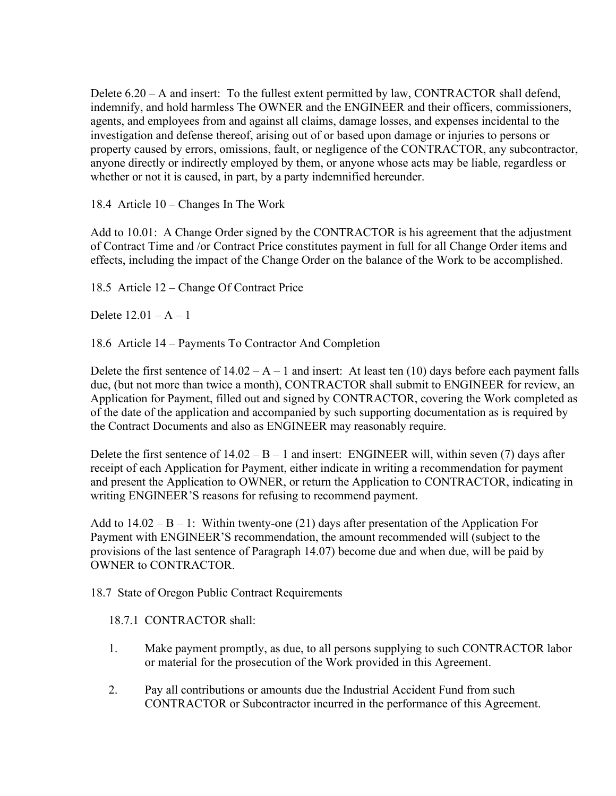Delete  $6.20 - A$  and insert: To the fullest extent permitted by law, CONTRACTOR shall defend, indemnify, and hold harmless The OWNER and the ENGINEER and their officers, commissioners, agents, and employees from and against all claims, damage losses, and expenses incidental to the investigation and defense thereof, arising out of or based upon damage or injuries to persons or property caused by errors, omissions, fault, or negligence of the CONTRACTOR, any subcontractor, anyone directly or indirectly employed by them, or anyone whose acts may be liable, regardless or whether or not it is caused, in part, by a party indemnified hereunder.

18.4 Article 10 – Changes In The Work

Add to 10.01: A Change Order signed by the CONTRACTOR is his agreement that the adjustment of Contract Time and /or Contract Price constitutes payment in full for all Change Order items and effects, including the impact of the Change Order on the balance of the Work to be accomplished.

18.5 Article 12 – Change Of Contract Price

Delete 12.01 – A – 1

18.6 Article 14 – Payments To Contractor And Completion

Delete the first sentence of  $14.02 - A - 1$  and insert: At least ten (10) days before each payment falls due, (but not more than twice a month), CONTRACTOR shall submit to ENGINEER for review, an Application for Payment, filled out and signed by CONTRACTOR, covering the Work completed as of the date of the application and accompanied by such supporting documentation as is required by the Contract Documents and also as ENGINEER may reasonably require.

Delete the first sentence of  $14.02 - B - 1$  and insert: ENGINEER will, within seven (7) days after receipt of each Application for Payment, either indicate in writing a recommendation for payment and present the Application to OWNER, or return the Application to CONTRACTOR, indicating in writing ENGINEER'S reasons for refusing to recommend payment.

Add to  $14.02 - B - 1$ : Within twenty-one (21) days after presentation of the Application For Payment with ENGINEER'S recommendation, the amount recommended will (subject to the provisions of the last sentence of Paragraph 14.07) become due and when due, will be paid by OWNER to CONTRACTOR.

18.7 State of Oregon Public Contract Requirements

18.7.1 CONTRACTOR shall:

- 1. Make payment promptly, as due, to all persons supplying to such CONTRACTOR labor or material for the prosecution of the Work provided in this Agreement.
- 2. Pay all contributions or amounts due the Industrial Accident Fund from such CONTRACTOR or Subcontractor incurred in the performance of this Agreement.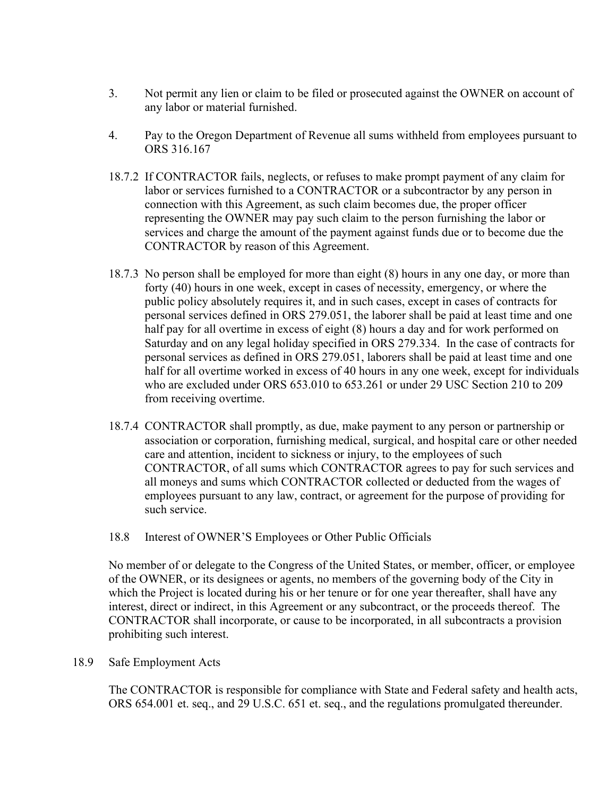- 3. Not permit any lien or claim to be filed or prosecuted against the OWNER on account of any labor or material furnished.
- 4. Pay to the Oregon Department of Revenue all sums withheld from employees pursuant to ORS 316.167
- 18.7.2 If CONTRACTOR fails, neglects, or refuses to make prompt payment of any claim for labor or services furnished to a CONTRACTOR or a subcontractor by any person in connection with this Agreement, as such claim becomes due, the proper officer representing the OWNER may pay such claim to the person furnishing the labor or services and charge the amount of the payment against funds due or to become due the CONTRACTOR by reason of this Agreement.
- 18.7.3 No person shall be employed for more than eight (8) hours in any one day, or more than forty (40) hours in one week, except in cases of necessity, emergency, or where the public policy absolutely requires it, and in such cases, except in cases of contracts for personal services defined in ORS 279.051, the laborer shall be paid at least time and one half pay for all overtime in excess of eight (8) hours a day and for work performed on Saturday and on any legal holiday specified in ORS 279.334. In the case of contracts for personal services as defined in ORS 279.051, laborers shall be paid at least time and one half for all overtime worked in excess of 40 hours in any one week, except for individuals who are excluded under ORS 653.010 to 653.261 or under 29 USC Section 210 to 209 from receiving overtime.
- 18.7.4 CONTRACTOR shall promptly, as due, make payment to any person or partnership or association or corporation, furnishing medical, surgical, and hospital care or other needed care and attention, incident to sickness or injury, to the employees of such CONTRACTOR, of all sums which CONTRACTOR agrees to pay for such services and all moneys and sums which CONTRACTOR collected or deducted from the wages of employees pursuant to any law, contract, or agreement for the purpose of providing for such service.
- 18.8 Interest of OWNER'S Employees or Other Public Officials

No member of or delegate to the Congress of the United States, or member, officer, or employee of the OWNER, or its designees or agents, no members of the governing body of the City in which the Project is located during his or her tenure or for one year thereafter, shall have any interest, direct or indirect, in this Agreement or any subcontract, or the proceeds thereof. The CONTRACTOR shall incorporate, or cause to be incorporated, in all subcontracts a provision prohibiting such interest.

18.9 Safe Employment Acts

The CONTRACTOR is responsible for compliance with State and Federal safety and health acts, ORS 654.001 et. seq., and 29 U.S.C. 651 et. seq., and the regulations promulgated thereunder.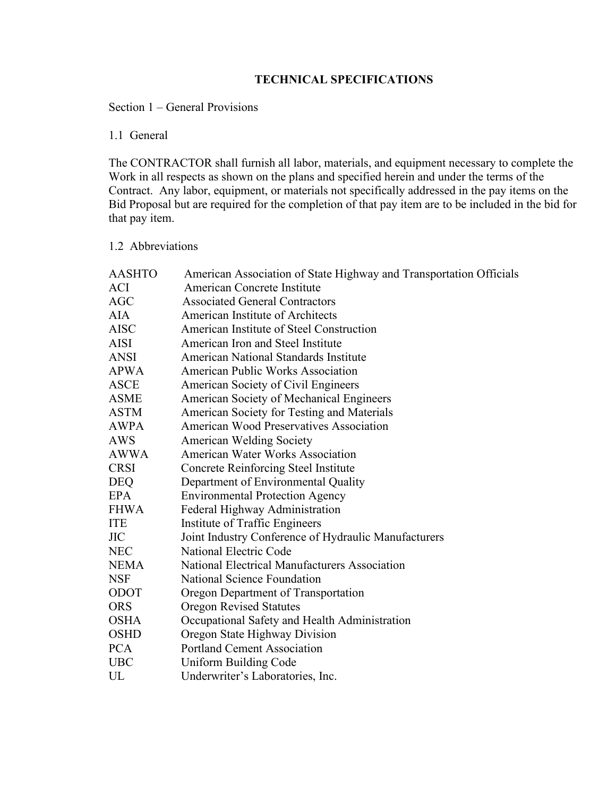# **TECHNICAL SPECIFICATIONS**

## Section 1 – General Provisions

# 1.1 General

The CONTRACTOR shall furnish all labor, materials, and equipment necessary to complete the Work in all respects as shown on the plans and specified herein and under the terms of the Contract. Any labor, equipment, or materials not specifically addressed in the pay items on the Bid Proposal but are required for the completion of that pay item are to be included in the bid for that pay item.

#### 1.2 Abbreviations

| <b>AASHTO</b> | American Association of State Highway and Transportation Officials |
|---------------|--------------------------------------------------------------------|
| ACI           | American Concrete Institute                                        |
| <b>AGC</b>    | <b>Associated General Contractors</b>                              |
| AIA           | American Institute of Architects                                   |
| <b>AISC</b>   | American Institute of Steel Construction                           |
| AISI          | American Iron and Steel Institute                                  |
| ANSI          | American National Standards Institute                              |
| <b>APWA</b>   | <b>American Public Works Association</b>                           |
| <b>ASCE</b>   | American Society of Civil Engineers                                |
| <b>ASME</b>   | American Society of Mechanical Engineers                           |
| <b>ASTM</b>   | American Society for Testing and Materials                         |
| <b>AWPA</b>   | <b>American Wood Preservatives Association</b>                     |
| AWS           | <b>American Welding Society</b>                                    |
| <b>AWWA</b>   | <b>American Water Works Association</b>                            |
| <b>CRSI</b>   | <b>Concrete Reinforcing Steel Institute</b>                        |
| <b>DEQ</b>    | Department of Environmental Quality                                |
| <b>EPA</b>    | <b>Environmental Protection Agency</b>                             |
| <b>FHWA</b>   | Federal Highway Administration                                     |
| <b>ITE</b>    | Institute of Traffic Engineers                                     |
| ЛC            | Joint Industry Conference of Hydraulic Manufacturers               |
| <b>NEC</b>    | National Electric Code                                             |
| <b>NEMA</b>   | National Electrical Manufacturers Association                      |
| <b>NSF</b>    | National Science Foundation                                        |
| ODOT          | Oregon Department of Transportation                                |
| <b>ORS</b>    | <b>Oregon Revised Statutes</b>                                     |
| <b>OSHA</b>   | Occupational Safety and Health Administration                      |
| <b>OSHD</b>   | Oregon State Highway Division                                      |
| <b>PCA</b>    | <b>Portland Cement Association</b>                                 |
| <b>UBC</b>    | Uniform Building Code                                              |
| UL            | Underwriter's Laboratories, Inc.                                   |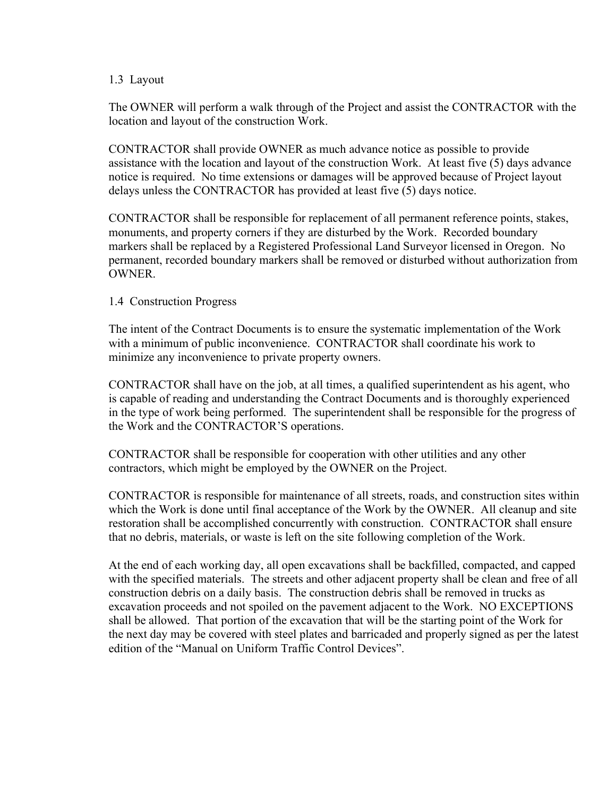#### 1.3 Layout

The OWNER will perform a walk through of the Project and assist the CONTRACTOR with the location and layout of the construction Work.

CONTRACTOR shall provide OWNER as much advance notice as possible to provide assistance with the location and layout of the construction Work. At least five (5) days advance notice is required. No time extensions or damages will be approved because of Project layout delays unless the CONTRACTOR has provided at least five (5) days notice.

CONTRACTOR shall be responsible for replacement of all permanent reference points, stakes, monuments, and property corners if they are disturbed by the Work. Recorded boundary markers shall be replaced by a Registered Professional Land Surveyor licensed in Oregon. No permanent, recorded boundary markers shall be removed or disturbed without authorization from OWNER.

#### 1.4 Construction Progress

The intent of the Contract Documents is to ensure the systematic implementation of the Work with a minimum of public inconvenience. CONTRACTOR shall coordinate his work to minimize any inconvenience to private property owners.

CONTRACTOR shall have on the job, at all times, a qualified superintendent as his agent, who is capable of reading and understanding the Contract Documents and is thoroughly experienced in the type of work being performed. The superintendent shall be responsible for the progress of the Work and the CONTRACTOR'S operations.

CONTRACTOR shall be responsible for cooperation with other utilities and any other contractors, which might be employed by the OWNER on the Project.

CONTRACTOR is responsible for maintenance of all streets, roads, and construction sites within which the Work is done until final acceptance of the Work by the OWNER. All cleanup and site restoration shall be accomplished concurrently with construction. CONTRACTOR shall ensure that no debris, materials, or waste is left on the site following completion of the Work.

At the end of each working day, all open excavations shall be backfilled, compacted, and capped with the specified materials. The streets and other adjacent property shall be clean and free of all construction debris on a daily basis. The construction debris shall be removed in trucks as excavation proceeds and not spoiled on the pavement adjacent to the Work. NO EXCEPTIONS shall be allowed. That portion of the excavation that will be the starting point of the Work for the next day may be covered with steel plates and barricaded and properly signed as per the latest edition of the "Manual on Uniform Traffic Control Devices".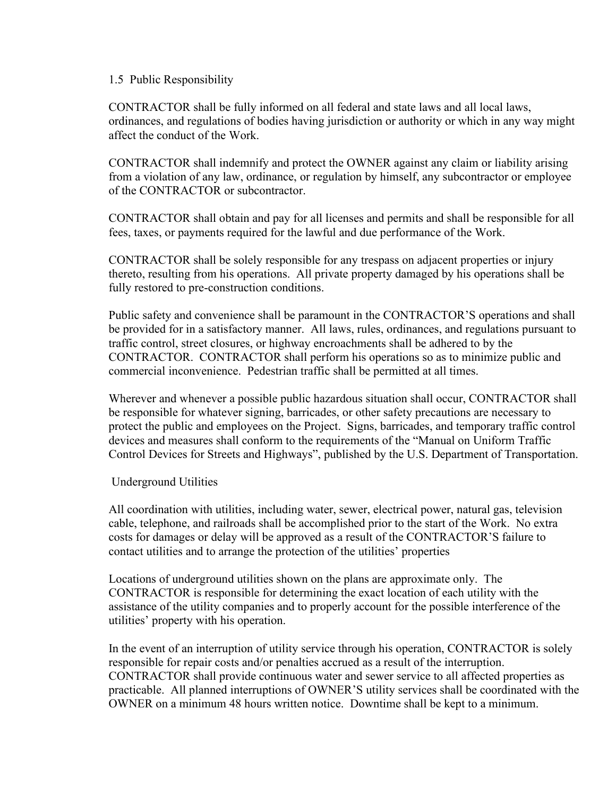#### 1.5 Public Responsibility

CONTRACTOR shall be fully informed on all federal and state laws and all local laws, ordinances, and regulations of bodies having jurisdiction or authority or which in any way might affect the conduct of the Work.

CONTRACTOR shall indemnify and protect the OWNER against any claim or liability arising from a violation of any law, ordinance, or regulation by himself, any subcontractor or employee of the CONTRACTOR or subcontractor.

CONTRACTOR shall obtain and pay for all licenses and permits and shall be responsible for all fees, taxes, or payments required for the lawful and due performance of the Work.

CONTRACTOR shall be solely responsible for any trespass on adjacent properties or injury thereto, resulting from his operations. All private property damaged by his operations shall be fully restored to pre-construction conditions.

Public safety and convenience shall be paramount in the CONTRACTOR'S operations and shall be provided for in a satisfactory manner. All laws, rules, ordinances, and regulations pursuant to traffic control, street closures, or highway encroachments shall be adhered to by the CONTRACTOR. CONTRACTOR shall perform his operations so as to minimize public and commercial inconvenience. Pedestrian traffic shall be permitted at all times.

Wherever and whenever a possible public hazardous situation shall occur, CONTRACTOR shall be responsible for whatever signing, barricades, or other safety precautions are necessary to protect the public and employees on the Project. Signs, barricades, and temporary traffic control devices and measures shall conform to the requirements of the "Manual on Uniform Traffic Control Devices for Streets and Highways", published by the U.S. Department of Transportation.

### Underground Utilities

All coordination with utilities, including water, sewer, electrical power, natural gas, television cable, telephone, and railroads shall be accomplished prior to the start of the Work. No extra costs for damages or delay will be approved as a result of the CONTRACTOR'S failure to contact utilities and to arrange the protection of the utilities' properties

Locations of underground utilities shown on the plans are approximate only. The CONTRACTOR is responsible for determining the exact location of each utility with the assistance of the utility companies and to properly account for the possible interference of the utilities' property with his operation.

In the event of an interruption of utility service through his operation, CONTRACTOR is solely responsible for repair costs and/or penalties accrued as a result of the interruption. CONTRACTOR shall provide continuous water and sewer service to all affected properties as practicable. All planned interruptions of OWNER'S utility services shall be coordinated with the OWNER on a minimum 48 hours written notice. Downtime shall be kept to a minimum.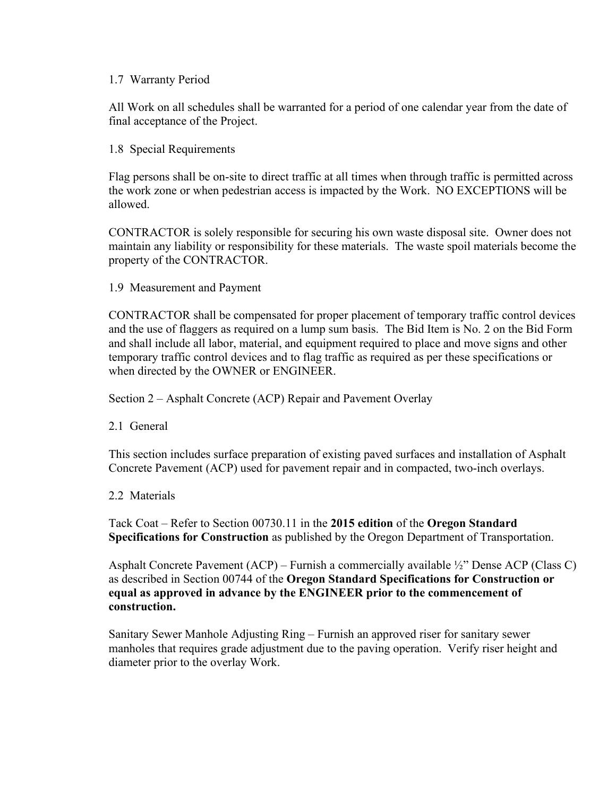#### 1.7 Warranty Period

All Work on all schedules shall be warranted for a period of one calendar year from the date of final acceptance of the Project.

1.8 Special Requirements

Flag persons shall be on-site to direct traffic at all times when through traffic is permitted across the work zone or when pedestrian access is impacted by the Work. NO EXCEPTIONS will be allowed.

CONTRACTOR is solely responsible for securing his own waste disposal site. Owner does not maintain any liability or responsibility for these materials. The waste spoil materials become the property of the CONTRACTOR.

1.9 Measurement and Payment

CONTRACTOR shall be compensated for proper placement of temporary traffic control devices and the use of flaggers as required on a lump sum basis. The Bid Item is No. 2 on the Bid Form and shall include all labor, material, and equipment required to place and move signs and other temporary traffic control devices and to flag traffic as required as per these specifications or when directed by the OWNER or ENGINEER.

Section 2 – Asphalt Concrete (ACP) Repair and Pavement Overlay

2.1 General

This section includes surface preparation of existing paved surfaces and installation of Asphalt Concrete Pavement (ACP) used for pavement repair and in compacted, two-inch overlays.

2.2 Materials

Tack Coat – Refer to Section 00730.11 in the **2015 edition** of the **Oregon Standard Specifications for Construction** as published by the Oregon Department of Transportation.

Asphalt Concrete Pavement (ACP) – Furnish a commercially available  $\frac{1}{2}$ " Dense ACP (Class C) as described in Section 00744 of the **Oregon Standard Specifications for Construction or equal as approved in advance by the ENGINEER prior to the commencement of construction.**

Sanitary Sewer Manhole Adjusting Ring – Furnish an approved riser for sanitary sewer manholes that requires grade adjustment due to the paving operation. Verify riser height and diameter prior to the overlay Work.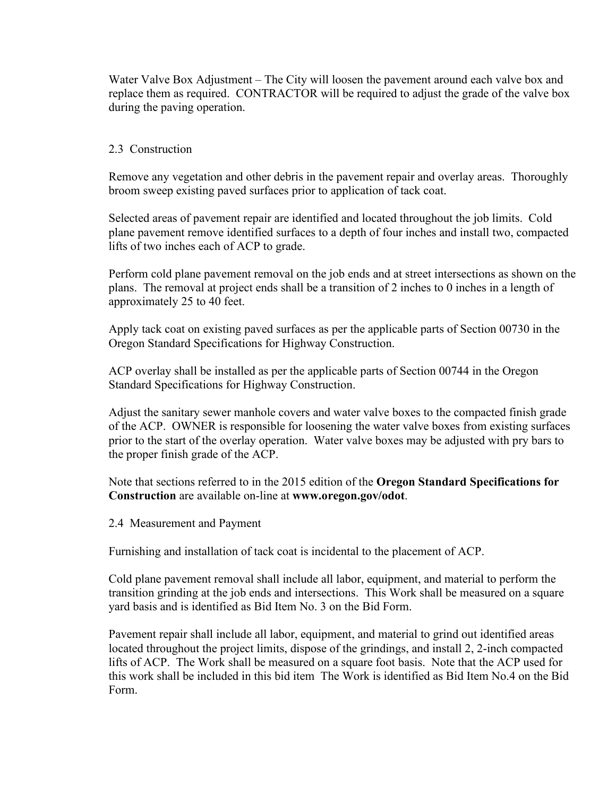Water Valve Box Adjustment – The City will loosen the pavement around each valve box and replace them as required. CONTRACTOR will be required to adjust the grade of the valve box during the paving operation.

### 2.3 Construction

Remove any vegetation and other debris in the pavement repair and overlay areas. Thoroughly broom sweep existing paved surfaces prior to application of tack coat.

Selected areas of pavement repair are identified and located throughout the job limits. Cold plane pavement remove identified surfaces to a depth of four inches and install two, compacted lifts of two inches each of ACP to grade.

Perform cold plane pavement removal on the job ends and at street intersections as shown on the plans. The removal at project ends shall be a transition of 2 inches to 0 inches in a length of approximately 25 to 40 feet.

Apply tack coat on existing paved surfaces as per the applicable parts of Section 00730 in the Oregon Standard Specifications for Highway Construction.

ACP overlay shall be installed as per the applicable parts of Section 00744 in the Oregon Standard Specifications for Highway Construction.

Adjust the sanitary sewer manhole covers and water valve boxes to the compacted finish grade of the ACP. OWNER is responsible for loosening the water valve boxes from existing surfaces prior to the start of the overlay operation. Water valve boxes may be adjusted with pry bars to the proper finish grade of the ACP.

Note that sections referred to in the 2015 edition of the **Oregon Standard Specifications for Construction** are available on-line at **www.oregon.gov/odot**.

2.4 Measurement and Payment

Furnishing and installation of tack coat is incidental to the placement of ACP.

Cold plane pavement removal shall include all labor, equipment, and material to perform the transition grinding at the job ends and intersections. This Work shall be measured on a square yard basis and is identified as Bid Item No. 3 on the Bid Form.

Pavement repair shall include all labor, equipment, and material to grind out identified areas located throughout the project limits, dispose of the grindings, and install 2, 2-inch compacted lifts of ACP. The Work shall be measured on a square foot basis. Note that the ACP used for this work shall be included in this bid item The Work is identified as Bid Item No.4 on the Bid Form.